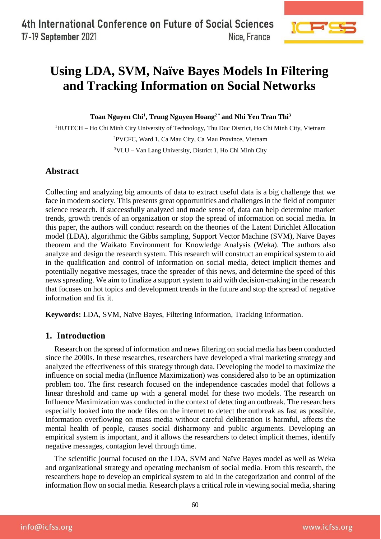

# **Using LDA, SVM, Naïve Bayes Models In Filtering and Tracking Information on Social Networks**

**Toan Nguyen Chi<sup>1</sup> , Trung Nguyen Hoang<sup>2</sup> \* and Nhi Yen Tran Thi<sup>3</sup>**

<sup>1</sup>HUTECH – Ho Chi Minh City University of Technology, Thu Duc District, Ho Chi Minh City, Vietnam <sup>2</sup>PVCFC, Ward 1, Ca Mau City, Ca Mau Province, Vietnam <sup>3</sup>VLU – Van Lang University, District 1, Ho Chi Minh City

# **Abstract**

Collecting and analyzing big amounts of data to extract useful data is a big challenge that we face in modern society. This presents great opportunities and challenges in the field of computer science research. If successfully analyzed and made sense of, data can help determine market trends, growth trends of an organization or stop the spread of information on social media. In this paper, the authors will conduct research on the theories of the Latent Dirichlet Allocation model (LDA), algorithmic the Gibbs sampling, Support Vector Machine (SVM), Naive Bayes theorem and the Waikato Environment for Knowledge Analysis (Weka). The authors also analyze and design the research system. This research will construct an empirical system to aid in the qualification and control of information on social media, detect implicit themes and potentially negative messages, trace the spreader of this news, and determine the speed of this news spreading. We aim to finalize a support system to aid with decision-making in the research that focuses on hot topics and development trends in the future and stop the spread of negative information and fix it.

**Keywords:** LDA, SVM, Naïve Bayes, Filtering Information, Tracking Information.

# **1. Introduction**

Research on the spread of information and news filtering on social media has been conducted since the 2000s. In these researches, researchers have developed a viral marketing strategy and analyzed the effectiveness of this strategy through data. Developing the model to maximize the influence on social media (Influence Maximization) was considered also to be an optimization problem too. The first research focused on the independence cascades model that follows a linear threshold and came up with a general model for these two models. The research on Influence Maximization was conducted in the context of detecting an outbreak. The researchers especially looked into the node files on the internet to detect the outbreak as fast as possible. Information overflowing on mass media without careful deliberation is harmful, affects the mental health of people, causes social disharmony and public arguments. Developing an empirical system is important, and it allows the researchers to detect implicit themes, identify negative messages, contagion level through time.

The scientific journal focused on the LDA, SVM and Naïve Bayes model as well as Weka and organizational strategy and operating mechanism of social media. From this research, the researchers hope to develop an empirical system to aid in the categorization and control of the information flow on social media. Research plays a critical role in viewing social media, sharing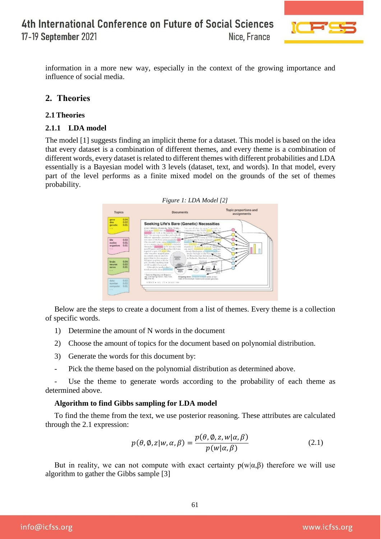

information in a more new way, especially in the context of the growing importance and influence of social media.

# **2. Theories**

## **2.1 Theories**

## **2.1.1 LDA model**

The model [1] suggests finding an implicit theme for a dataset. This model is based on the idea that every dataset is a combination of different themes, and every theme is a combination of different words, every dataset is related to different themes with different probabilities and LDA essentially is a Bayesian model with 3 levels (dataset, text, and words). In that model, every part of the level performs as a finite mixed model on the grounds of the set of themes probability.



Below are the steps to create a document from a list of themes. Every theme is a collection of specific words.

- 1) Determine the amount of N words in the document
- 2) Choose the amount of topics for the document based on polynomial distribution.
- 3) Generate the words for this document by:
- Pick the theme based on the polynomial distribution as determined above.

Use the theme to generate words according to the probability of each theme as determined above.

## **Algorithm to find Gibbs sampling for LDA model**

To find the theme from the text, we use posterior reasoning. These attributes are calculated through the 2.1 expression:

$$
p(\theta, \emptyset, z | w, \alpha, \beta) = \frac{p(\theta, \emptyset, z, w | \alpha, \beta)}{p(w | \alpha, \beta)}
$$
(2.1)

But in reality, we can not compute with exact certainty  $p(w|\alpha, \beta)$  therefore we will use algorithm to gather the Gibbs sample [3]

info@icfss.org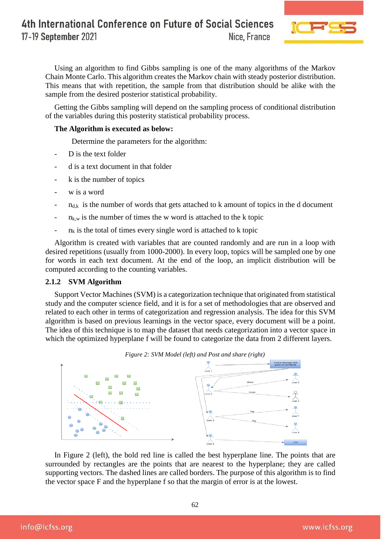

Using an algorithm to find Gibbs sampling is one of the many algorithms of the Markov Chain Monte Carlo. This algorithm creates the Markov chain with steady posterior distribution. This means that with repetition, the sample from that distribution should be alike with the sample from the desired posterior statistical probability.

Getting the Gibbs sampling will depend on the sampling process of conditional distribution of the variables during this posterity statistical probability process.

#### **The Algorithm is executed as below:**

Determine the parameters for the algorithm:

- D is the text folder
- d is a text document in that folder
- k is the number of topics
- w is a word
- $-$  n<sub>d,k</sub> is the number of words that gets attached to k amount of topics in the d document
- $n_{k,w}$  is the number of times the w word is attached to the k topic
- $n_k$  is the total of times every single word is attached to k topic

Algorithm is created with variables that are counted randomly and are run in a loop with desired repetitions (usually from 1000-2000). In every loop, topics will be sampled one by one for words in each text document. At the end of the loop, an implicit distribution will be computed according to the counting variables.

#### **2.1.2 SVM Algorithm**

Support Vector Machines (SVM) is a categorization technique that originated from statistical study and the computer science field, and it is for a set of methodologies that are observed and related to each other in terms of categorization and regression analysis. The idea for this SVM algorithm is based on previous learnings in the vector space, every document will be a point. The idea of this technique is to map the dataset that needs categorization into a vector space in which the optimized hyperplane f will be found to categorize the data from 2 different layers.



In Figure 2 (left), the bold red line is called the best hyperplane line. The points that are surrounded by rectangles are the points that are nearest to the hyperplane; they are called supporting vectors. The dashed lines are called borders. The purpose of this algorithm is to find

the vector space F and the hyperplane f so that the margin of error is at the lowest.

62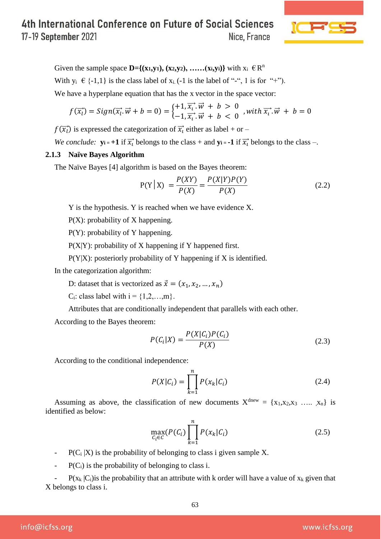

Given the sample space  $\mathbf{D} = \{(\mathbf{x}_1, \mathbf{y}_1), (\mathbf{x}_2, \mathbf{y}_2), \dots, (\mathbf{x}_i, \mathbf{y}_i)\}\$  with  $\mathbf{x}_i \in \mathbb{R}^n$ With  $y_i \in \{-1,1\}$  is the class label of  $x_i$ . (-1 is the label of "-", 1 is for "+"). We have a hyperplane equation that has the x vector in the space vector:

$$
f(\overrightarrow{x_i}) = Sign(\overrightarrow{x_i}.\overrightarrow{w} + b = 0) = \begin{cases} +1, \overrightarrow{x_i}.\overrightarrow{w} + b > 0 \\ -1, \overrightarrow{x_i}.\overrightarrow{w} + b < 0 \end{cases}, with \overrightarrow{x_i}.\overrightarrow{w} + b = 0
$$

 $f(\overline{x_i})$  is expressed the categorization of  $\overline{x_i}$  either as label + or –

*We conclude:*  $\mathbf{y_i} = +1$  if  $\overline{x_i}$  belongs to the class + and  $\mathbf{y_i} = -1$  if  $\overline{x_i}$  belongs to the class -.

## **2.1.3 Naïve Bayes Algorithm**

The Naïve Bayes [4] algorithm is based on the Bayes theorem:

$$
P(Y | X) = \frac{P(XY)}{P(X)} = \frac{P(X|Y)P(Y)}{P(X)}
$$
(2.2)

Y is the hypothesis. Y is reached when we have evidence X.

P(X): probability of X happening.

P(Y): probability of Y happening.

P(X|Y): probability of X happening if Y happened first.

P(Y|X): posteriorly probability of Y happening if X is identified.

In the categorization algorithm:

D: dataset that is vectorized as  $\vec{x} = (x_1, x_2, ..., x_n)$ 

C<sub>i</sub>: class label with  $i = \{1, 2, \ldots, m\}$ .

Attributes that are conditionally independent that parallels with each other.

According to the Bayes theorem:

$$
P(C_i|X) = \frac{P(X|C_i)P(C_i)}{P(X)}
$$
\n(2.3)

According to the conditional independence:

$$
P(X|C_i) = \prod_{k=1}^{n} P(x_k|C_i)
$$
\n(2.4)

Assuming as above, the classification of new documents  $X^{\text{dnew}} = \{x_1, x_2, x_3, \dots, x_n\}$  is identified as below:

$$
\max_{C_i \in C} (P(C_i) \prod_{k=1}^n P(x_k | C_i)
$$
\n(2.5)

-  $P(C_i | X)$  is the probability of belonging to class i given sample X.

 $-$  P(C<sub>i</sub>) is the probability of belonging to class i.

 $P(x_k | C_i)$  is the probability that an attribute with k order will have a value of  $x_k$  given that X belongs to class i.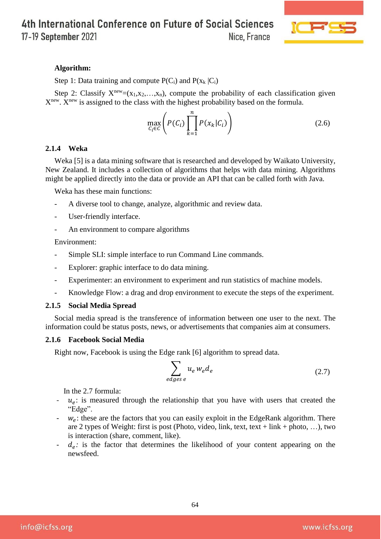4th International Conference on Future of Social Sciences

17-19 September 2021

Nice, France



## **Algorithm:**

Step 1: Data training and compute  $P(C_i)$  and  $P(x_k | C_i)$ 

Step 2: Classify  $X^{new} = (x_1, x_2, \ldots, x_n)$ , compute the probability of each classification given X<sup>new</sup>. X<sup>new</sup> is assigned to the class with the highest probability based on the formula.

$$
\max_{C_i \in \mathcal{C}} \left( P(C_i) \prod_{k=1}^n P(x_k | C_i) \right) \tag{2.6}
$$

#### **2.1.4 Weka**

Weka [5] is a data mining software that is researched and developed by Waikato University, New Zealand. It includes a collection of algorithms that helps with data mining. Algorithms might be applied directly into the data or provide an API that can be called forth with Java.

Weka has these main functions:

- A diverse tool to change, analyze, algorithmic and review data.
- User-friendly interface.
- An environment to compare algorithms

Environment:

- Simple SLI: simple interface to run Command Line commands.
- Explorer: graphic interface to do data mining.
- Experimenter: an environment to experiment and run statistics of machine models.
- Knowledge Flow: a drag and drop environment to execute the steps of the experiment.

#### **2.1.5 Social Media Spread**

Social media spread is the transference of information between one user to the next. The information could be status posts, news, or advertisements that companies aim at consumers.

#### **2.1.6 Facebook Social Media**

Right now, Facebook is using the Edge rank [6] algorithm to spread data.

$$
\sum_{edges\ e} u_e \, w_e d_e \tag{2.7}
$$

In the 2.7 formula:

- $\cdot$   $u_e$ : is measured through the relationship that you have with users that created the "Edge".
- $\cdot$   $w_e$ : these are the factors that you can easily exploit in the EdgeRank algorithm. There are 2 types of Weight: first is post (Photo, video, link, text, text + link + photo, ...), two is interaction (share, comment, like).
- $d_e$ : is the factor that determines the likelihood of your content appearing on the newsfeed.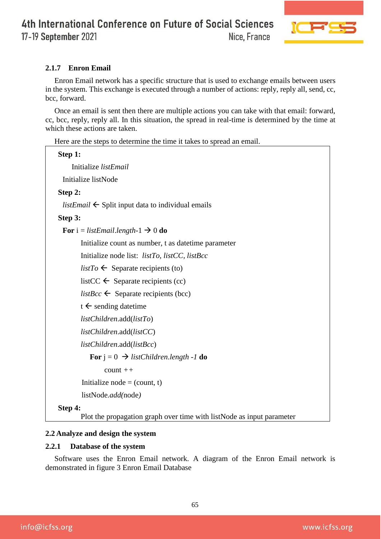

# **2.1.7 Enron Email**

Enron Email network has a specific structure that is used to exchange emails between users in the system. This exchange is executed through a number of actions: reply, reply all, send, cc, bcc, forward.

Once an email is sent then there are multiple actions you can take with that email: forward, cc, bcc, reply, reply all. In this situation, the spread in real-time is determined by the time at which these actions are taken.

Here are the steps to determine the time it takes to spread an email.

```
Step 1: 
    Initialize listEmail
 Initialize listNode
Step 2:
 listEmail \leftarrow Split input data to individual emails
Step 3:
 For i = listEmail.length - 1 \rightarrow 0 do
        Initialize count as number, t as datetime parameter
        Initialize node list: listTo, listCC, listBcc
        listTo \leftarrow Separate recipients (to)
        listCC \leftarrow Separate recipients (cc)
        listBcc \leftarrow Separate recipients (bcc)
        t \leftarrow sending datetime
        listChildren.add(listTo)
        listChildren.add(listCC)
        listChildren.add(listBcc)
           For j = 0 \implies listChildren.length -1 do
                count ++
        Initialize node = (count, t)listNode.add(node) 
Step 4:
```
Plot the propagation graph over time with listNode as input parameter

## **2.2 Analyze and design the system**

## **2.2.1 Database of the system**

Software uses the Enron Email network. A diagram of the Enron Email network is demonstrated in figure 3 Enron Email Database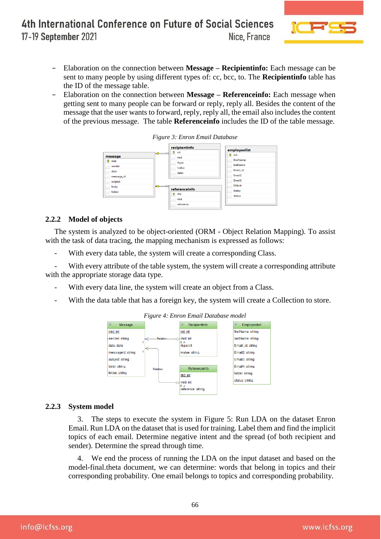

- − Elaboration on the connection between **Message – Recipientinfo:** Each message can be sent to many people by using different types of: cc, bcc, to. The **Recipientinfo** table has the ID of the message table.
- − Elaboration on the connection between **Message – Referenceinfo:** Each message when getting sent to many people can be forward or reply, reply all. Besides the content of the message that the user wants to forward, reply, reply all, the email also includes the content of the previous message. The table **Referenceinfo** includes the ID of the table message.





## **2.2.2 Model of objects**

The system is analyzed to be object-oriented (ORM - Object Relation Mapping). To assist with the task of data tracing, the mapping mechanism is expressed as follows:

With every data table, the system will create a corresponding Class.

With every attribute of the table system, the system will create a corresponding attribute with the appropriate storage data type.

- With every data line, the system will create an object from a Class.
- With the data table that has a foreign key, the system will create a Collection to store.



## **2.2.3 System model**

3. The steps to execute the system in Figure 5: Run LDA on the dataset Enron Email. Run LDA on the dataset that is used for training. Label them and find the implicit topics of each email. Determine negative intent and the spread (of both recipient and sender). Determine the spread through time.

4. We end the process of running the LDA on the input dataset and based on the model-final.theta document, we can determine: words that belong in topics and their corresponding probability. One email belongs to topics and corresponding probability.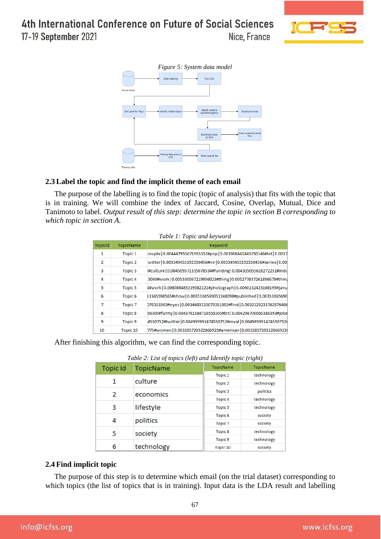4th International Conference on Future of Social Sciences

17-19 September 2021

Nice, France





# **2.3 Label the topic and find the implicit theme of each email**

The purpose of the labelling is to find the topic (topic of analysis) that fits with the topic that is in training. We will combine the index of Jaccard, Cosine, Overlap, Mutual, Dice and Tanimoto to label. *Output result of this step: determine the topic in section B corresponding to which topic in section A.*

| <b>TopicId</b> | TopicName          | Keyword                                                               |
|----------------|--------------------|-----------------------------------------------------------------------|
| 1              | Topic 1            | couple 0.004447955671955152#pop 0.003906841843250146#lot 0.0037       |
| $\overline{2}$ | Topic <sub>2</sub> | witter   0.003349455192350456#mr   0.003349455192350456#series   0.00 |
| 3              | Topic 3            | #culture   0.004509571335078534#funding   0.004305055628272251#indu   |
| 4              | Topic <sub>4</sub> | 3069#work 0.005330067219956023#thing 0.005277837261896679#thin        |
| 5              | Topic 5            | 4#work 0.006086485219582221#photograph 0.0060132423168195#janu        |
| 6              | Topic <sub>6</sub> | 13145598565#show   0.0035106569051248098#published   0.00351065690    |
| 7              | Topic <sub>7</sub> | 070351503#eyes 0.0034689332070351503#find 0.0032129233762576486       |
| 8              | Topic <sub>8</sub> | 58305#funny   0.0043781584718558305#bit   0.004298700060388393#joke   |
| 9              | Topic <sub>9</sub> | 4550752#twitter   0.004995991474550752#royal   0.004995991474550752#  |
| 10             | Topic 10           | 775#women   0.003285720322866923#american   0.003285720322866923      |

After finishing this algorithm, we can find the corresponding topic.

| <b>Topic Id</b> | TopicName  | TopicName          | TopicName  |  |
|-----------------|------------|--------------------|------------|--|
|                 |            | Topic 1            | technology |  |
|                 | culture    | Topic <sub>2</sub> | technology |  |
| 2               | economics  | Topic <sub>3</sub> | politics   |  |
|                 |            | Topic <sub>4</sub> | technology |  |
| 3               | lifestyle  | Topic <sub>5</sub> | technology |  |
|                 |            | Topic <sub>6</sub> | society    |  |
| 4               | politics   | Topic <sub>7</sub> | society    |  |
| 5               | society    | Topic <sub>8</sub> | technology |  |
|                 |            | Topic <sub>9</sub> | technology |  |
| 6               | technology | Topic 10           | society    |  |

| Table 2: List of topics (left) and Identify topic (right) |  |  |
|-----------------------------------------------------------|--|--|
|                                                           |  |  |

## **2.4 Find implicit topic**

The purpose of this step is to determine which email (on the trial dataset) corresponding to which topics (the list of topics that is in training). Input data is the LDA result and labelling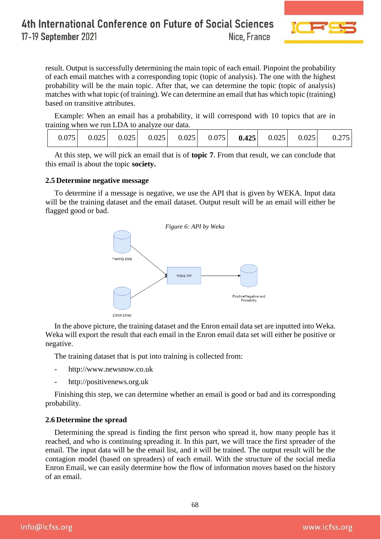

result. Output is successfully determining the main topic of each email. Pinpoint the probability of each email matches with a corresponding topic (topic of analysis). The one with the highest probability will be the main topic. After that, we can determine the topic (topic of analysis) matches with what topic (of training). We can determine an email that has which topic (training) based on transitive attributes.

Example: When an email has a probability, it will correspond with 10 topics that are in training when we run LDA to analyze our data.

| 0.075 |  |  |  |  |  | $0.025$   $0.025$   $0.025$   $0.025$   $0.075$   $0.425$   $0.025$   $0.025$ |  |  | 0.275 |
|-------|--|--|--|--|--|-------------------------------------------------------------------------------|--|--|-------|
|-------|--|--|--|--|--|-------------------------------------------------------------------------------|--|--|-------|

At this step, we will pick an email that is of **topic 7**. From that result, we can conclude that this email is about the topic **society.**

#### **2.5 Determine negative message**

To determine if a message is negative, we use the API that is given by WEKA. Input data will be the training dataset and the email dataset. Output result will be an email will either be flagged good or bad.



In the above picture, the training dataset and the Enron email data set are inputted into Weka. Weka will export the result that each email in the Enron email data set will either be positive or negative.

The training dataset that is put into training is collected from:

- http://www.newsnow.co.uk
- http://positivenews.org.uk

Finishing this step, we can determine whether an email is good or bad and its corresponding probability.

#### **2.6 Determine the spread**

Determining the spread is finding the first person who spread it, how many people has it reached, and who is continuing spreading it. In this part, we will trace the first spreader of the email. The input data will be the email list, and it will be trained. The output result will be the contagion model (based on spreaders) of each email. With the structure of the social media Enron Email, we can easily determine how the flow of information moves based on the history of an email.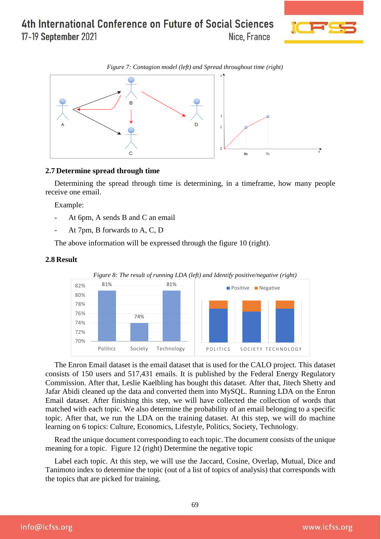

*Figure 7: Contagion model (left) and Spread throughout time (right)*



#### **2.7 Determine spread through time**

Determining the spread through time is determining, in a timeframe, how many people receive one email.

Example:

- At 6pm, A sends B and C an email
- At 7pm, B forwards to A, C, D

The above information will be expressed through the figure 10 (right).

#### **2.8 Result**



The Enron Email dataset is the email dataset that is used for the CALO project. This dataset consists of 150 users and 517,431 emails. It is published by the Federal Energy Regulatory Commission. After that, Leslie Kaelbling has bought this dataset. After that, Jitech Shetty and Jafar Abidi cleaned up the data and converted them into MySQL. Running LDA on the Enron Email dataset. After finishing this step, we will have collected the collection of words that matched with each topic. We also determine the probability of an email belonging to a specific topic. After that, we run the LDA on the training dataset. At this step, we will do machine learning on 6 topics: Culture, Economics, Lifestyle, Politics, Society, Technology.

Read the unique document corresponding to each topic. The document consists of the unique meaning for a topic. Figure 12 (right) Determine the negative topic

Label each topic. At this step, we will use the Jaccard, Cosine, Overlap, Mutual, Dice and Tanimoto index to determine the topic (out of a list of topics of analysis) that corresponds with the topics that are picked for training.

info@icfss.org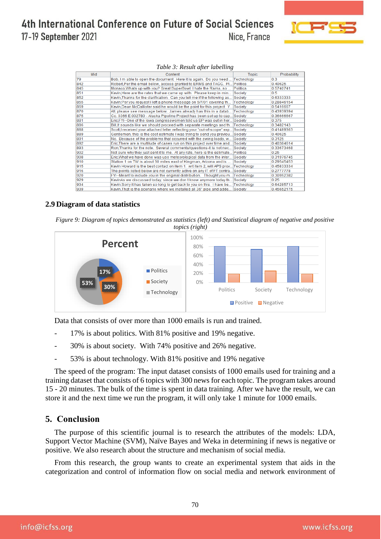

| Mid | Content                                                                           | <b>Topic</b> | Probability |
|-----|-----------------------------------------------------------------------------------|--------------|-------------|
| 79  | Bob, I m able to open the document. Here it is again. Do you need  Technology     |              | 0.3         |
| 842 | Robert,Per the email below, access granted to ERMS and TAGG. Pl Politics          |              | 0.40625     |
| 845 | Monaco.Whats up with you? Great SuperBowl. I hate the Rams. so  Politics          |              | 0.5740741   |
| 851 | Kevin, Here are the rates that we came up with. Please keep in min Society        |              | 0.5         |
| 852 | Kevin, Thanks for the clarification. Can you tell me if the following as Society  |              | 0.6333333   |
| 855 | Kevin:Per you request I left a phone message on 5/7/01 covering th Technology     |              | 0.28846154  |
| 869 | Kevin, Dean McCallister said he would be the point for this project. Y Society    |              | 0.5416667   |
| 870 | All, please see message below. James already has this in a datab Technology       |              | 0.43939394  |
| 875 | Co. 0366 E.002780 - Alaska Pipeline Project has been set up to cap Society        |              | 0.36666667  |
| 881 | Eric, FYI--One of the lowa congresswomen told us BP was out in her Society        |              | 0.375       |
| 886 | Bill, It sounds like we should proceed with separate meetings and th Technology   |              | 0.3482143   |
| 888 | Scott, I received your attached letter reflecting your "out-of-scope" exp Society |              | 0.41489363  |
| 889 | Gentlemen, this is the cost estimate I was trying to send you previou Society     |              | 0.40625     |
| 891 | No. Because of the problems that occurred with the swing loads, w Society         |              | 0.3125      |
| 892 | Eric. There are a multitude of cases run on this project over time and Society    |              | 040384614   |
| 893 | Ron, Thanks for the note. Several comments/questions-It is not nec Society        |              | 0.33673468  |
| 902 | Not sure why they just sent it to me. At any rate, here is the estimate Politics  |              | 0.25        |
| 908 | Eric.What we have done was use meteorological data from the inter Society         |              | 0.31976745  |
| 910 | Station 1 on TW is about 30 miles east of Kingman, Arizona and is                 | Society      | 0.29545453  |
| 915 | Kevin Howard is the best contact on item 1. wrt item 2, will APS prov Technology  |              | 0.45833334  |
| 916 | The points listed below are not currently active on any IT of FT contra Society   |              | 0.2777778   |
| 920 | FYI--Meant to include you in the original distribution. Thought you mTechnology   |              | 0.30952382  |
| 929 | KevinAs we discussed today, since we don't know anymore today th Society          |              | 0.25        |
| 934 | Kevin:Sorry it has taken so long to get back to you on this. I have be Technology |              | 0.64285713  |
| 939 | Kevin, That is the scenario where we installed all 36" pipe and adde Society      |              | 0.45652175  |

#### **2.9 Diagram of data statistics**

*Figure 9: Diagram of topics demonstrated as statistics (left) and Statistical diagram of negative and positive* 



Data that consists of over more than 1000 emails is run and trained.

- 17% is about politics. With 81% positive and 19% negative.
- 30% is about society. With 74% positive and 26% negative.
- 53% is about technology. With 81% positive and 19% negative

The speed of the program: The input dataset consists of 1000 emails used for training and a training dataset that consists of 6 topics with 300 news for each topic. The program takes around 15 - 20 minutes. The bulk of the time is spent in data training. After we have the result, we can store it and the next time we run the program, it will only take 1 minute for 1000 emails.

## **5. Conclusion**

The purpose of this scientific journal is to research the attributes of the models: LDA, Support Vector Machine (SVM), Naïve Bayes and Weka in determining if news is negative or positive. We also research about the structure and mechanism of social media.

From this research, the group wants to create an experimental system that aids in the categorization and control of information flow on social media and network environment of

info@icfss.org